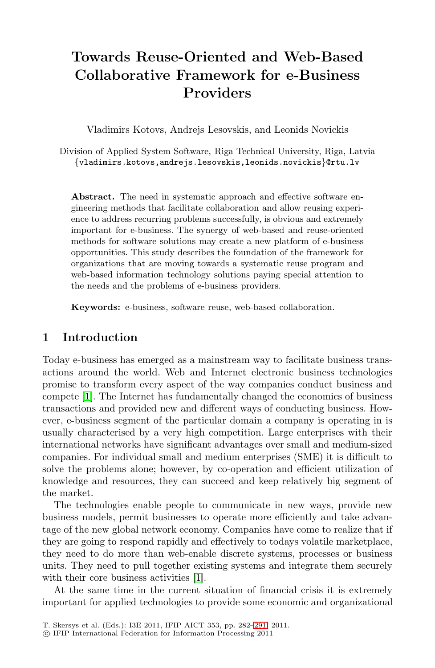# **Towards Reuse-Oriented and Web-Based Collaborative Framework for e-Business Providers**

Vladimirs Kotovs, Andrejs Lesovskis, and Leonids Novickis

Division of Applied System Software, Riga Technical University, Riga, Latvia *{*vladimirs.kotovs,andrejs.lesovskis,leonids.novickis*}*@rtu.lv

Abstract. The need in systematic approach and effective software engineering methods that facilitate collaboration and allow reusing experience to address recurring problems successfully, is obvious and extremely important for e-business. The synergy of web-based and reuse-oriented methods for software solutions may create a new platform of e-business opportunities. This study describes the foundation of the framework for organizations that are moving towards a systematic reuse program and web-based information technology solutions paying special attention to the needs and the problems of e-business providers.

**Keywords:** e-business, software reuse, web-based collaboration.

### **1 Introduction**

Today e-business has emerged as a mainstream way to facilitate business transactions around the world. Web and Internet electronic business technologies promise to transform every aspect of the way companies conduct business and compete [1]. The Internet has fundamentally changed the economics of business transactions and provided new and different ways of conducting business. However, e-business segment of the particular domain a company is operating in is usually characterised by a very high competition. Large enterprises with their international networks have significant advantages over small and medium-sized companies. For individual small and medium enterprises (SME) it is difficult to solve the problems alone; however, by co-operation and efficient utilization of knowledge and [re](#page-9-0)sources, they can succeed and keep relatively big segment of the market.

The technologies enable people to communicate in new ways, provide new business models, permit businesses to operate more efficiently and take advantage of the new global netwo[rk e](#page-9-1)conomy. Companies have come to realize that if they are going to respond rapidly and effectively to todays volatile marketplace, they need to do more than web-enable discrete systems, processes or business units. They need to pull together existing systems and integrate them securely with their core business activities [1].

At the same time in the current situation of financial crisis it is extremely important for applied technologies to provide some economic and organizational

T. Skersys et al. (Eds.): I3E 2011, IFIP AICT 353, pp. 282–291, 2011.

<sup>-</sup>c IFIP International Federation for Information Processing 2011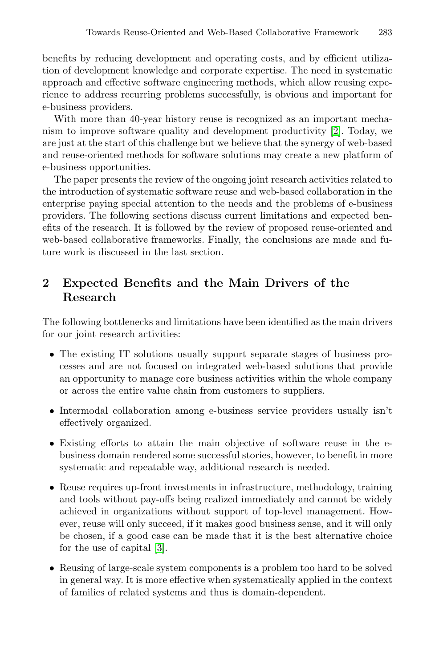benefits by reducing development and operating costs, and by efficient utilization of development knowledge and corporate expertise. The need in systematic approach and effective software engineering methods, which allow reusing experience to address recurring problems successfully, is obvious and important for e-business providers.

With more than 40-year history reuse is recognized as an important mechanism to improve software quality and development productivity [2]. Today, we are just at the start of this challenge but we believe that the synergy of web-based and reuse-oriented methods for software solutions may create a new platform of e-business opportunities.

The paper presents the review of the ongoing joint research activities related to the introduction of systematic software reuse and web-based collaboration in the enterprise paying special attention to the needs and the problems of e-business providers. The following sections discuss current limitations and expected benefits of the research. It is followed by the review of proposed reuse-oriented and web-based collaborative frameworks. Finally, the conclusions are made and future work is discussed in the last section.

# **2 Expected Benefits and the Main Drivers of the Research**

The following bottlenecks and limitations have been identified as the main drivers for our joint research activities:

- *•* The existing IT solutions usually support separate stages of business processes and are not focused on integrated web-based solutions that provide an opportunity to manage core business activities within the whole company or across the entire value chain from customers to suppliers.
- *•* Intermodal collaboration among e-business service providers usually isn't effectively organized.
- *•* Existing efforts to attain the main objective of software reuse in the ebu[sin](#page-9-3)ess domain rendered some successful stories, however, to benefit in more systematic and repeatable way, additional research is needed.
- Reuse requires up-front investments in infrastructure, methodology, training and tools without pay-offs being realized immediately and cannot be widely achieved in organizations without support of top-level management. However, reuse will only succeed, if it makes good business sense, and it will only be chosen, if a good case can be made that it is the best alternative choice for the use of capital [3].
- Reusing of large-scale system components is a problem too hard to be solved in general way. It is more effective when systematically applied in the context of families of related systems and thus is domain-dependent.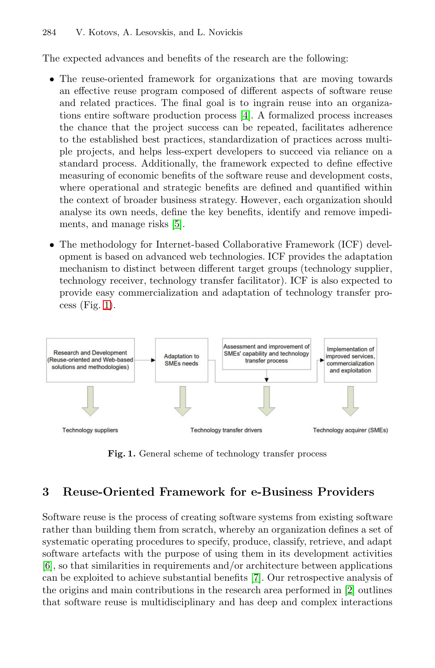#### 284 V. Kotovs, A. Lesovskis, and L. Novickis

The expected advances and benefits of the research are the following:

- The reuse-oriented framework for organizations that are moving towards an effective reuse program composed of different aspects of software reuse and related practices. The final goal is to ingrain reuse into an organizations entire software production process [4]. A formalized process increases the ch[an](#page-9-4)ce that the project success can be repeated, facilitates adherence to the established best practices, standardization of practices across multiple projects, and helps less-expert developers to succeed via reliance on a standard process. Additionally, the framework expected to define effective measuring of economic benefits of the software reuse and development costs, where operational and strategic benefits are defined and quantified within the context of broader business strategy. However, each organization should analyse its own needs, define the key benefits, identify and remove impediments, and manage risks [5].
- The methodology for Internet-based Collaborative Framework (ICF) development is based on advanced web technologies. ICF provides the adaptation mechanism to distinct between different target groups (technology supplier, technology receiver, technology transfer facilitator). ICF is also expected to provide easy commercialization and adaptation of technology transfer process (Fig. 1).



Fig. 1. General scheme of technology transfer process

# **3 Reuse-Oriented F[ra](#page-9-5)mework for e-[B](#page-9-2)usiness Providers**

Software reuse is the process of creating software systems from existing software rather than building them from scratch, whereby an organization defines a set of systematic operating procedures to specify, produce, classify, retrieve, and adapt software artefacts with the purpose of using them in its development activities [6], so that similarities in requirements and/or architecture between applications can be exploited to achieve substantial benefits [7]. Our retrospective analysis of the origins and main contributions in the research area performed in [2] outlines that software reuse is multidisciplinary and has deep and complex interactions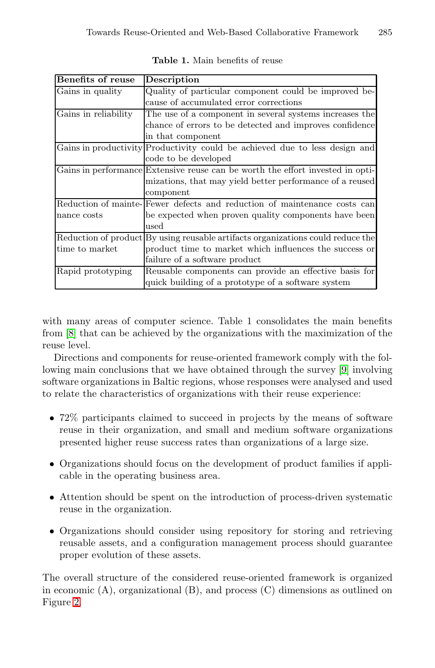| <b>Benefits of reuse</b> | Description                                                                     |
|--------------------------|---------------------------------------------------------------------------------|
| Gains in quality         | Quality of particular component could be improved be-                           |
|                          | cause of accumulated error corrections                                          |
| Gains in reliability     | The use of a component in several systems increases the                         |
|                          | chance of errors to be detected and improves confidence                         |
|                          | in that component                                                               |
|                          | Gains in productivity Productivity could be achieved due to less design and     |
|                          | code to be developed                                                            |
|                          | Gains in performance Extensive reuse can be worth the effort invested in opti-  |
|                          | mizations, that may yield better performance of a reused                        |
|                          | component                                                                       |
|                          | Reduction of mainte-Fewer defects and reduction of maintenance costs can        |
| nance costs              | be expected when proven quality components have been                            |
|                          | used                                                                            |
|                          | Reduction of product By using reusable artifacts organizations could reduce the |
| time to market           | product time to market which influences the success or                          |
|                          | failure of a software product                                                   |
| Rapid prototyping        | Reusable components can provide an effective basis for                          |
|                          | quick building of a prototype of a software system                              |

**Table 1.** Main benefits of reuse

with many areas of computer science. Table 1 consolidates the main benefits from [8] that can be achieved by the organizations with the maximization of the reuse level.

Directions and components for reuse-oriented framework comply with the following main conclusions that we have obtained through the survey [9] involving software organizations in Baltic regions, whose responses were analysed and used to relate the characteristics of organizations with their reuse experience:

- 72% participants claimed to succeed in projects by the means of software reuse in their organization, and small and medium software organizations presented higher reuse success rates than organizations of a large size.
- *•* Organizations should focus on the development of product families if applicable in the operating business area.
- *•* Attention should be spent on the introduction of process-driven systematic reuse in the organization.
- *•* Organizations should consider using repository for storing and retrieving reusable assets, and a configuration management process should guarantee proper evolution of these assets.

The overall structure of the considered reuse-oriented framework is organized in economic (A), organizational (B), and process (C) dimensions as outlined on Figure 2.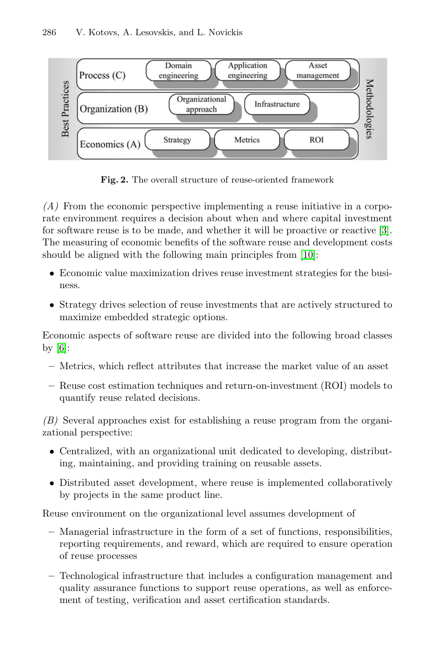#### 286 V. Kotovs, A. Lesovskis, and L. Novickis



**Fig. 2.** The overall structure of reuse-oriented framework

*(A)* From the economic perspective implementing a reuse initiative in a corporate environment requires a decision about when and where capital investment for software reuse is to be made, and whether it will be proactive or reactive [3]. The measuring of economic benefits of the software reuse and development costs should be aligned with the following main principles from [10]:

- *•* Economic value maximization drives reuse investment strategies for the business.
- Strategy drives selection of reuse investments that are actively structured to maximize embedded strategic options.

Economic aspects of software reuse are divided into the following broad classes by [6]:

- **–** Metrics, which reflect attributes that increase the market value of an asset
- **–** Reuse cost estimation techniques and return-on-investment (ROI) models to quantify reuse related decisions.

*(B)* Several approaches exist for establishing a reuse program from the organizational perspective:

- Centralized, with an organizational unit dedicated to developing, distributing, maintaining, and providing training on reusable assets.
- Distributed asset development, where reuse is implemented collaboratively by projects in the same product line.

Reuse environment on the organizational level assumes development of

- **–** Managerial infrastructure in the form of a set of functions, responsibilities, reporting requirements, and reward, which are required to ensure operation of reuse processes
- **–** Technological infrastructure that includes a configuration management and quality assurance functions to support reuse operations, as well as enforcement of testing, verification and asset certification standards.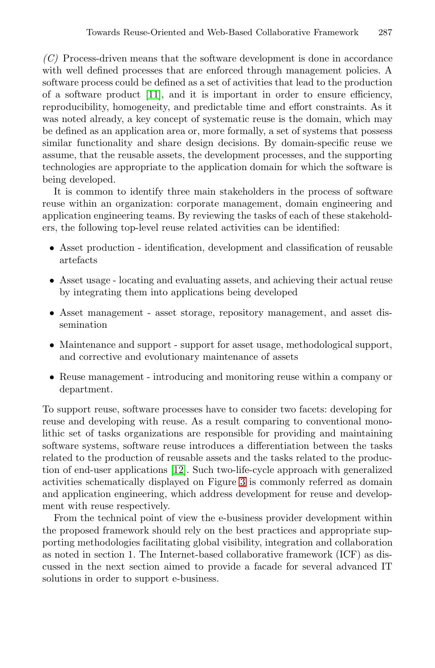*(C)* Process-driven means that the software development is done in accordance with well defined processes that are enforced through management policies. A software process could be defined as a set of activities that lead to the production of a software product [11], and it is important in order to ensure efficiency, reproducibility, homogeneity, and predictable time and effort constraints. As it was noted already, a key concept of systematic reuse is the domain, which may be defined as an application area or, more formally, a set of systems that possess similar functionality and share design decisions. By domain-specific reuse we assume, that the reusable assets, the development processes, and the supporting technologies are appropriate to the application domain for which the software is being developed.

It is common to identify three main stakeholders in the process of software reuse within an organization: corporate management, domain engineering and application engineering teams. By reviewing the tasks of each of these stakeholders, the following top-level reuse related activities can be identified:

- Asset production identification, development and classification of reusable artefacts
- *•* Asset usage locating and evaluating assets, and achieving their actual reuse by integrating them into applications being developed
- Asset management asset storage, repository management, and asset dissemination
- Maintenance and support support for asset usage, methodological support, and corrective and evolutionary maintenance of assets
- *•* Reuse [ma](#page-9-7)nagement introducing and monitoring reuse within a company or department.

To support reuse, software processes have to consider two facets: developing for reuse and developing with reuse. As a result comparing to conventional monolithic set of tasks organizations are responsible for providing and maintaining software systems, software reuse introduces a differentiation between the tasks related to the production of reusable assets and the tasks related to the production of end-user applications [12]. Such two-life-cycle approach with generalized activities schematically displayed on Figure 3 is commonly referred as domain and application engineering, which address development for reuse and development with reuse respectively.

From the technical point of view the e-business provider development within the proposed framework should rely on the best practices and appropriate supporting methodologies facilitating global visibility, integration and collaboration as noted in section 1. The Internet-based collaborative framework (ICF) as discussed in the next section aimed to provide a facade for several advanced IT solutions in order to support e-business.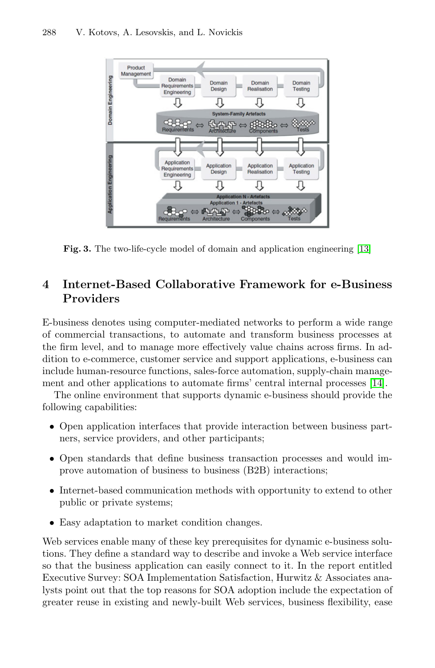#### 288 V. Kotovs, A. Lesovskis, and L. Novickis



**Fig. 3.** The two-life-cycle model of domain and application engineering [13]

### **4 Internet-Based Collaborative Framew[ork](#page-9-8) for e-Business Providers**

E-business denotes using computer-mediated networks to perform a wide range of commercial transactions, to automate and transform business processes at the firm level, and to manage more effectively value chains across firms. In addition to e-commerce, customer service and support applications, e-business can include human-resource functions, sales-force automation, supply-chain management and other applications to automate firms' central internal processes [14].

The online environment that supports dynamic e-business should provide the following capabilities:

- *•* Open application interfaces that provide interaction between business partners, service providers, and other participants;
- Open standards that define business transaction processes and would improve automation of business to business (B2B) interactions;
- *•* Internet-based communication methods with opportunity to extend to other public or private systems;
- Easy adaptation to market condition changes.

Web services enable many of these key prerequisites for dynamic e-business solutions. They define a standard way to describe and invoke a Web service interface so that the business application can easily connect to it. In the report entitled Executive Survey: SOA Implementation Satisfaction, Hurwitz & Associates analysts point out that the top reasons for SOA adoption include the expectation of greater reuse in existing and newly-built Web services, business flexibility, ease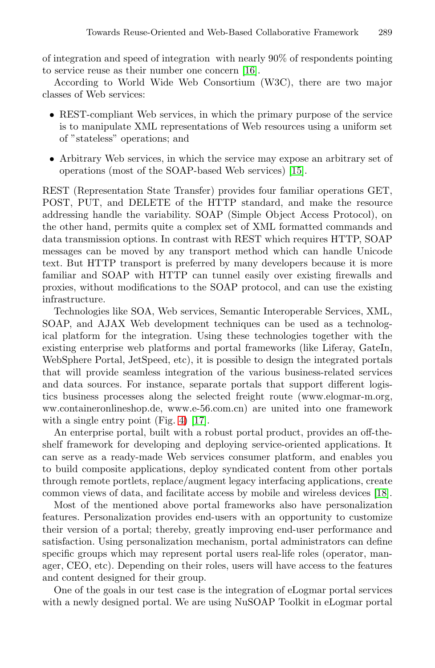of integration and speed of integration with nearly 90% of respondents pointing to service reuse as their number one concern [16].

According to World Wide Web [Con](#page-9-9)sortium (W3C), there are two major classes of Web services:

- REST-compliant Web services, in which the primary purpose of the service is to manipulate XML representations of Web resources using a uniform set of "stateless" operations; and
- Arbitrary Web services, in which the service may expose an arbitrary set of operations (most of the SOAP-based Web services) [15].

REST (Representation State Transfer) provides four familiar operations GET, POST, PUT, and DELETE of the HTTP standard, and make the resource addressing handle the variability. SOAP (Simple Object Access Protocol), on the other hand, permits quite a complex set of XML formatted commands and data transmission options. In contrast with REST which requires HTTP, SOAP messages can be moved by any transport method which can handle Unicode text. But HTTP transport is preferred by many developers because it is more familiar and SOAP with HTTP can tunnel easily over existing firewalls and proxies, without modifications to the SOAP protocol, and can use the existing infrastructure.

Technologies like SOA, Web services, Semantic Interoperable Services, XML, SOAP, and [A](#page-8-0)[JAX](#page-9-10) Web development techniques can be used as a technological platform for the integration. Using these technologies together with the existing enterprise web platforms and portal frameworks (like Liferay, GateIn, WebSphere Portal, JetSpeed, etc), it is possible to design the integrated portals that will provide seamless integration of the various business-related services and data sources. For instance, separate portals that support different logistics business processes along the selected freight rout[e \(w](#page-9-11)ww.elogmar-m.org, ww.containeronlineshop.de, www.e-56.com.cn) are united into one framework with a single entry point (Fig. 4) [17].

An enterprise portal, built with a robust portal product, provides an off-theshelf framework for developing and deploying service-oriented applications. It can serve as a ready-made Web services consumer platform, and enables you to build composite applications, deploy syndicated content from other portals through remote portlets, replace/augment legacy interfacing applications, create common views of data, and facilitate access by mobile and wireless devices [18].

Most of the mentioned above portal frameworks also have personalization features. Personalization provides end-users with an opportunity to customize their version of a portal; thereby, greatly improving end-user performance and satisfaction. Using personalization mechanism, portal administrators can define specific groups which may represent portal users real-life roles (operator, manager, CEO, etc). Depending on their roles, users will have access to the features and content designed for their group.

One of the goals in our test case is the integration of eLogmar portal services with a newly designed portal. We are using NuSOAP Toolkit in eLogmar portal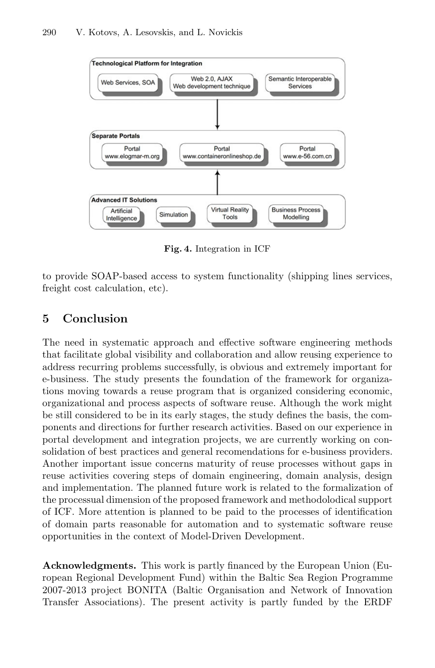

<span id="page-8-0"></span>**Fig. 4.** Integration in ICF

to provide SOAP-based access to system functionality (shipping lines services, freight cost calculation, etc).

# **5 Conclusion**

The need in systematic approach and effective software engineering methods that facilitate global visibility and collaboration and allow reusing experience to address recurring problems successfully, is obvious and extremely important for e-business. The study presents the foundation of the framework for organizations moving towards a reuse program that is organized considering economic, organizational and process aspects of software reuse. Although the work might be still considered to be in its early stages, the study defines the basis, the components and directions for further research activities. Based on our experience in portal development and integration projects, we are currently working on consolidation of best practices and general recomendations for e-business providers. Another important issue concerns maturity of reuse processes without gaps in reuse activities covering steps of domain engineering, domain analysis, design and implementation. The planned future work is related to the formalization of the processual dimension of the proposed framework and methodolodical support of ICF. More attention is planned to be paid to the processes of identification of domain parts reasonable for automation and to systematic software reuse opportunities in the context of Model-Driven Development.

**Acknowledgments.** This work is partly financed by the European Union (European Regional Development Fund) within the Baltic Sea Region Programme 2007-2013 project BONITA (Baltic Organisation and Network of Innovation Transfer Associations). The present activity is partly funded by the ERDF